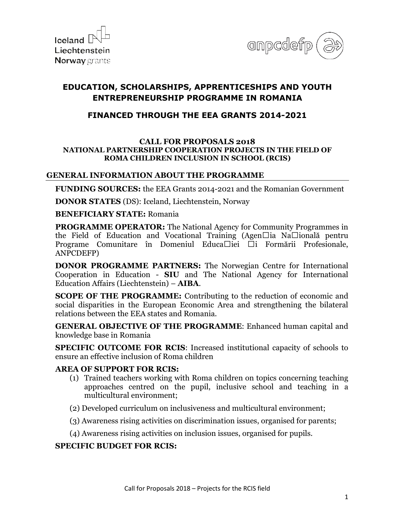



# **EDUCATION, SCHOLARSHIPS, APPRENTICESHIPS AND YOUTH ENTREPRENEURSHIP PROGRAMME IN ROMANIA**

# **FINANCED THROUGH THE EEA GRANTS 2014-2021**

#### **CALL FOR PROPOSALS 2018 NATIONAL PARTNERSHIP COOPERATION PROJECTS IN THE FIELD OF ROMA CHILDREN INCLUSION IN SCHOOL (RCIS)**

### **GENERAL INFORMATION ABOUT THE PROGRAMME**

**FUNDING SOURCES:** the EEA Grants 2014-2021 and the Romanian Government

**DONOR STATES** (DS): Iceland, Liechtenstein, Norway

#### **BENEFICIARY STATE:** Romania

**PROGRAMME OPERATOR:** The National Agency for Community Programmes in the Field of Education and Vocational Training (Agen $\Box$ ia Na $\Box$ ională pentru Programe Comunitare în Domeniul Educa $\Box$ iei  $\Box$ i Formării Profesionale, ANPCDEFP)

**DONOR PROGRAMME PARTNERS:** The Norwegian Centre for International Cooperation in Education - **SIU** and The National Agency for International Education Affairs (Liechtenstein) – **AIBA**.

**SCOPE OF THE PROGRAMME:** Contributing to the reduction of economic and social disparities in the European Economic Area and strengthening the bilateral relations between the EEA states and Romania.

**GENERAL OBJECTIVE OF THE PROGRAMME**: Enhanced human capital and knowledge base in Romania

**SPECIFIC OUTCOME FOR RCIS:** Increased institutional capacity of schools to ensure an effective inclusion of Roma children

### **AREA OF SUPPORT FOR RCIS:**

- (1) Trained teachers working with Roma children on topics concerning teaching approaches centred on the pupil, inclusive school and teaching in a multicultural environment;
- (2) Developed curriculum on inclusiveness and multicultural environment;
- (3) Awareness rising activities on discrimination issues, organised for parents;
- (4) Awareness rising activities on inclusion issues, organised for pupils.

### **SPECIFIC BUDGET FOR RCIS:**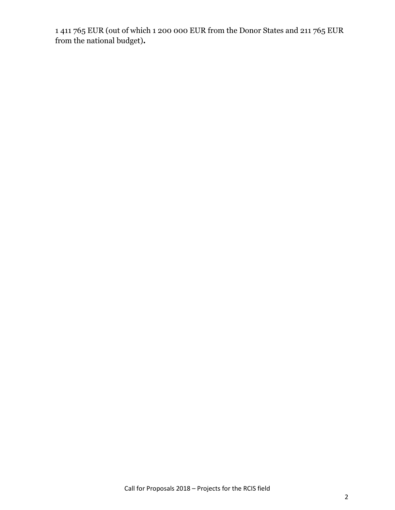1 411 765 EUR (out of which 1 200 000 EUR from the Donor States and 211 765 EUR from the national budget)**.**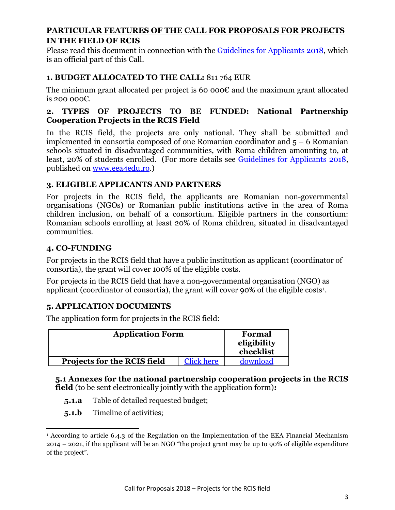### **PARTICULAR FEATURES OF THE CALL FOR PROPOSALS FOR PROJECTS IN THE FIELD OF RCIS**

Please read this document in connection with the Guidelines for Applicants 2018, which is an official part of this Call.

# **1. BUDGET ALLOCATED TO THE CALL:** 811 764 EUR

The minimum grant allocated per project is 60 000€ and the maximum grant allocated is 200 000 $\varepsilon$ .

### **2. TYPES OF PROJECTS TO BE FUNDED: National Partnership Cooperation Projects in the RCIS Field**

In the RCIS field, the projects are only national. They shall be submitted and implemented in consortia composed of one Romanian coordinator and 5 – 6 Romanian schools situated in disadvantaged communities, with Roma children amounting to, at least, 20% of students enrolled. (For more details see Guidelines for Applicants 2018, published on [www.eea4edu.ro.](http://www.eea4edu.ro/))

### **3. ELIGIBLE APPLICANTS AND PARTNERS**

For projects in the RCIS field, the applicants are Romanian non-governmental organisations (NGOs) or Romanian public institutions active in the area of Roma children inclusion, on behalf of a consortium. Eligible partners in the consortium: Romanian schools enrolling at least 20% of Roma children, situated in disadvantaged communities.

# **4. CO-FUNDING**

For projects in the RCIS field that have a public institution as applicant (coordinator of consortia), the grant will cover 100% of the eligible costs.

For projects in the RCIS field that have a non-governmental organisation (NGO) as applicant (coordinator of consortia), the grant will cover 90% of the eligible costs[1](#page-2-0) .

### **5. APPLICATION DOCUMENTS**

The application form for projects in the RCIS field:

| <b>Application Form</b>     |                   | Formal<br>eligibility<br>checklist |
|-----------------------------|-------------------|------------------------------------|
| Projects for the RCIS field | <b>Click here</b> | download                           |

### **5.1 Annexes for the national partnership cooperation projects in the RCIS field** (to be sent electronically jointly with the application form)**:**

- **5.1.a** Table of detailed requested budget;
- **5.1.b** Timeline of activities;

<span id="page-2-0"></span><sup>&</sup>lt;u>.</u> <sup>1</sup> According to article 6.4.3 of the Regulation on the Implementation of the EEA Financial Mechanism 2014 – 2021, if the applicant will be an NGO "the project grant may be up to 90% of eligible expenditure of the project".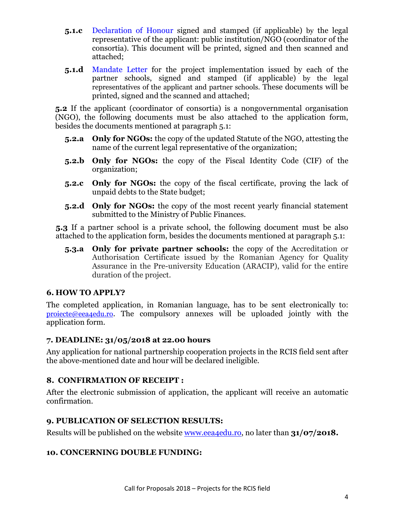- **5.1.c** Declaration of Honour signed and stamped (if applicable) by the legal representative of the applicant: public institution/NGO (coordinator of the consortia). This document will be printed, signed and then scanned and attached;
- **5.1.d** Mandate Letter for the project implementation issued by each of the partner schools, signed and stamped (if applicable) by the legal representatives of the applicant and partner schools. These documents will be printed, signed and the scanned and attached;

**5.2** If the applicant (coordinator of consortia) is a nongovernmental organisation (NGO), the following documents must be also attached to the application form, besides the documents mentioned at paragraph 5.1:

- **5.2.a Only for NGOs:** the copy of the updated Statute of the NGO, attesting the name of the current legal representative of the organization;
- **5.2.b Only for NGOs:** the copy of the Fiscal Identity Code (CIF) of the organization;
- **5.2.c Only for NGOs:** the copy of the fiscal certificate, proving the lack of unpaid debts to the State budget;
- **5.2.d Only for NGOs:** the copy of the most recent yearly financial statement submitted to the Ministry of Public Finances.

**5.3** If a partner school is a private school, the following document must be also attached to the application form, besides the documents mentioned at paragraph 5.1:

**5.3.a Only for private partner schools:** the copy of the Accreditation or Authorisation Certificate issued by the Romanian Agency for Quality Assurance in the Pre-university Education (ARACIP), valid for the entire duration of the project.

### **6. HOW TO APPLY?**

The completed application, in Romanian language, has to be sent electronically to: [proiecte@eea4edu.ro](mailto:proiecte@eea4edu.ro). The compulsory annexes will be uploaded jointly with the application form.

### **7. DEADLINE: 31/05/2018 at 22.00 hours**

Any application for national partnership cooperation projects in the RCIS field sent after the above-mentioned date and hour will be declared ineligible.

### **8. CONFIRMATION OF RECEIPT :**

After the electronic submission of application, the applicant will receive an automatic confirmation.

### **9. PUBLICATION OF SELECTION RESULTS:**

Results will be published on the website [www.eea4edu.ro,](http://www.eea4edu.ro/) no later than **31/07/2018.** 

### **10. CONCERNING DOUBLE FUNDING:**